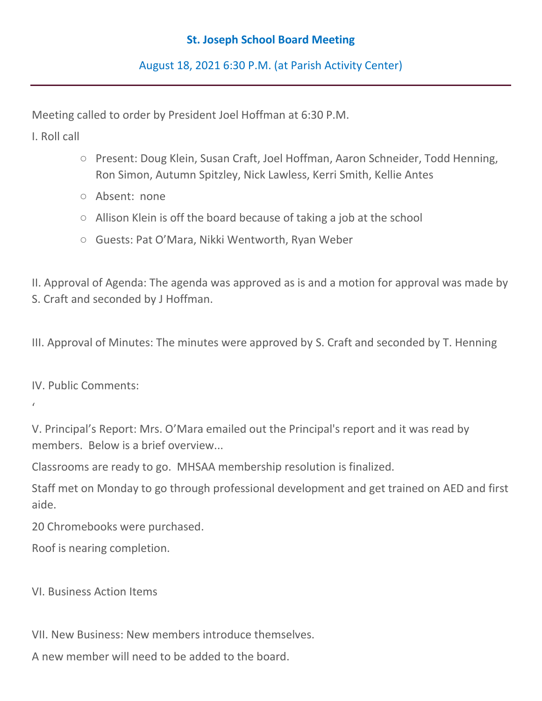## **St. Joseph School Board Meeting**

August 18, 2021 6:30 P.M. (at Parish Activity Center)

Meeting called to order by President Joel Hoffman at 6:30 P.M.

I. Roll call

- Present: Doug Klein, Susan Craft, Joel Hoffman, Aaron Schneider, Todd Henning, Ron Simon, Autumn Spitzley, Nick Lawless, Kerri Smith, Kellie Antes
- Absent: none
- Allison Klein is off the board because of taking a job at the school
- Guests: Pat O'Mara, Nikki Wentworth, Ryan Weber

II. Approval of Agenda: The agenda was approved as is and a motion for approval was made by S. Craft and seconded by J Hoffman.

III. Approval of Minutes: The minutes were approved by S. Craft and seconded by T. Henning

IV. Public Comments:

'

V. Principal's Report: Mrs. O'Mara emailed out the Principal's report and it was read by members. Below is a brief overview...

Classrooms are ready to go. MHSAA membership resolution is finalized.

Staff met on Monday to go through professional development and get trained on AED and first aide.

20 Chromebooks were purchased.

Roof is nearing completion.

VI. Business Action Items

VII. New Business: New members introduce themselves.

A new member will need to be added to the board.